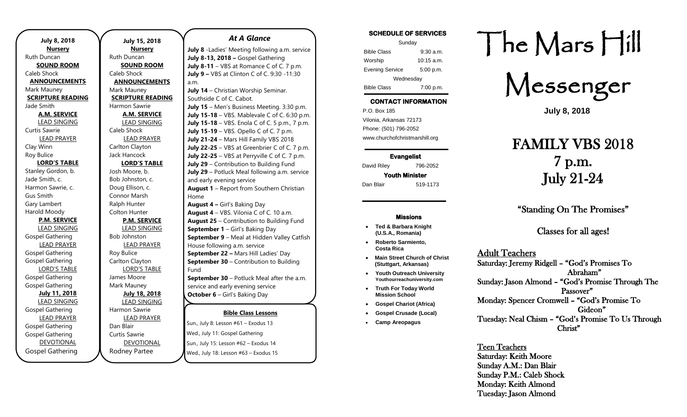| <b>July 8, 2018</b>                 |
|-------------------------------------|
| <b>Nursery</b>                      |
| Ruth Duncan                         |
| <b>SOUND ROOM</b><br>Caleb Shock    |
|                                     |
| <b>ANNOUNCEMENTS</b><br>Mark Mauney |
| <b>SCRIPTURE READING</b>            |
| Jade Smith                          |
| <b>A.M. SERVICE</b>                 |
| <b>LEAD SINGING</b>                 |
| <b>Curtis Sawrie</b>                |
| <b>LEAD PRAYER</b>                  |
| Clay Winn                           |
| Roy Bulice                          |
| <b>LORD'S TABLE</b>                 |
| Stanley Gordon, b.                  |
| Jade Smith, c.                      |
| Harmon Sawrie, c.                   |
| Gus Smith                           |
| Gary Lambert                        |
| Harold Moody                        |
| <b>P.M. SERVICE</b>                 |
| <b>LEAD SINGING</b>                 |
| Gospel Gathering                    |
| <b>LEAD PRAYER</b>                  |
| Gospel Gathering                    |
| Gospel Gathering                    |
| <b>LORD'S TABLE</b>                 |
| <b>Gospel Gathering</b>             |
| Gospel Gathering                    |
| <b>July 11, 2018</b>                |
| <b>LEAD SINGING</b>                 |
| Gospel Gathering                    |
| <b>LEAD PRAYER</b>                  |
| <b>Gospel Gathering</b>             |
| Gospel Gathering                    |
| <b>DEVOTIONAL</b>                   |
| <b>Gospel Gathering</b>             |

**July 15, 2018 Nursery** Ruth Duncan **SOUND ROOM** Caleb Shock **ANNOUNCEMENTS** Mark Mauney **SCRIPTURE READING** Harmon Sawrie **A.M. SERVICE** LEAD SINGING Caleb Shock LEAD PRAYER Carlton Clayton Jack Hancock **LORD'S TABLE** Josh Moore, b. Bob Johnston, c. Doug Ellison, c. Connor Marsh Ralph Hunter Colton Hunter **P.M. SERVICE** LEAD SINGING Bob Johnston LEAD PRAYER Roy Bulice Carlton Clayton LORD'S TABLE James Moore Mark Mauney **July 18, 2018** LEAD SINGING Harmon Sawrie LEAD PRAYER Dan Blair Curtis Sawrie DEVOTIONAL

Rodney Partee

#### *At A Glance*

**July 8** -Ladies' Meeting following a.m. service **July 8-13, 2018 –** Gospel Gathering **July 8-11** – VBS at Romance C of C. 7 p.m. **July 9 –** VBS at Clinton C of C. 9:30 -11:30 a.m.

**July 14** – Christian Worship Seminar. Southside C of C. Cabot. **July 15** – Men's Business Meeting. 3:30 p.m. **July 15-18** – VBS. Mablevale C of C. 6:30 p.m. **July 15-18** – VBS. Enola C of C. 5 p.m., 7 p.m. **July 15-19** – VBS. Opello C of C. 7 p.m. **July 21-24** – Mars Hill Family VBS 2018 **July 22-25** – VBS at Greenbrier C of C. 7 p.m. **July 22-25** – VBS at Perryville C of C. 7 p.m. **July 29** – Contribution to Building Fund **July 29** – Potluck Meal following a.m. service and early evening service **August 1** – Report from Southern Christian Home **August 4 –** Girl's Baking Day **August 4** – VBS. Vilonia C of C. 10 a.m. **August 25** – Contribution to Building Fund **September 1** – Girl's Baking Day **September 9** – Meal at Hidden Valley Catfish House following a.m. service

**September 22 –** Mars Hill Ladies' Day **September 30** – Contribution to Building Fund

**September 30** – Potluck Meal after the a.m. service and early evening service **October 6** – Girl's Baking Day

## **Bible Class Lessons**

sun., July 8: Lesson #61 – Exodus 13 Wed., July 11: Gospel Gathering Sun., July 15: Lesson #62 – Exodus 14 Wed., July 18: Lesson #63 – Exodus 15 **Dant, July 0. ECJJOH POT EXOGOS** 19 Carey and Kim Well's house

## **SCHEDULE OF SERVICES**

| Sunday                 |             |  |
|------------------------|-------------|--|
| <b>Bible Class</b>     | $9:30$ a.m. |  |
| Worship                | 10:15 a.m.  |  |
| <b>Evening Service</b> | 5:00 p.m.   |  |
| Wednesday              |             |  |
| <b>Bible Class</b>     | 7:00 p.m.   |  |

## **CONTACT INFORMATION**

. .o. Box 166<br>Vilonia, Arkansas 72173 P.O. Box 185 Phone: (501) 796-2052 www.churchofchristmarshill.org

**Evangelist**  David Riley 796-2052

## **Youth Minister**

Dan Blair 519-1173

#### **Missions**

- **Ted & Barbara Knight (U.S.A., Romania)**
- **Roberto Sarmiento, Costa Rica**
- **Main Street Church of Christ (Stuttgart, Arkansas)** • **Youth Outreach University**
- **Youthourreachuniversity.com** • **Truth For Today World Mission School**
- **Gospel Chariot (Africa)**
	- **Gospel Crusade (Local)**
- **Camp Areopagus**

# The Mars Hill

Messenger

**July 8, 2018**

# FAMILY VBS 2018 7 p.m. July 21-24

"Standing On The Promises"

Classes for all ages!

### Adult Teachers

Saturday: Jeremy Ridgell – "God's Promises To Abraham" Sunday: Jason Almond – "God's Promise Through The Passover" Monday: Spencer Cromwell – "God's Promise To Gideon" Tuesday: Neal Chism – "God's Promise To Us Through Christ"

Teen Teachers Saturday: Keith Moore Sunday A.M.: Dan Blair Sunday P.M.: Caleb Shock Monday: Keith Almond Tuesday: Jason Almond